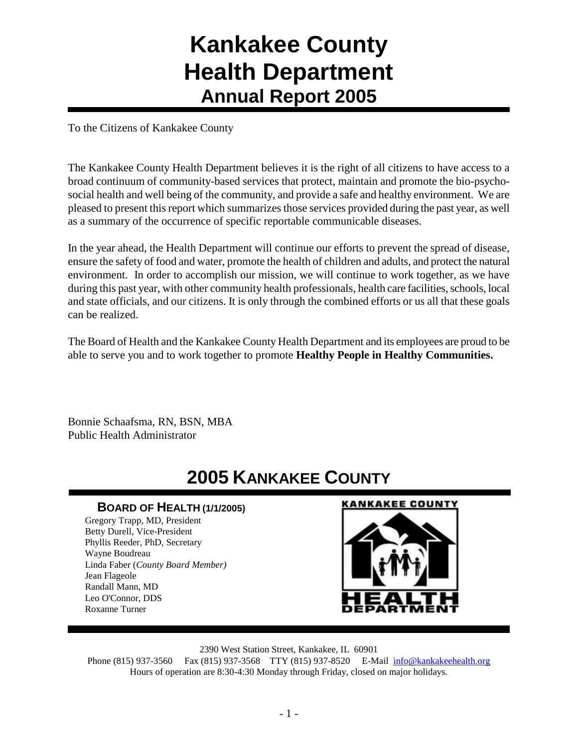# **Kankakee County Health Department Annual Report 2005**

To the Citizens of Kankakee County

The Kankakee County Health Department believes it is the right of all citizens to have access to a broad continuum of community-based services that protect, maintain and promote the bio-psychosocial health and well being of the community, and provide a safe and healthy environment. We are pleased to present this report which summarizes those services provided during the past year, as well as a summary of the occurrence of specific reportable communicable diseases.

In the year ahead, the Health Department will continue our efforts to prevent the spread of disease, ensure the safety of food and water, promote the health of children and adults, and protect the natural environment. In order to accomplish our mission, we will continue to work together, as we have during this past year, with other community health professionals, health care facilities, schools, local and state officials, and our citizens. It is only through the combined efforts or us all that these goals can be realized.

The Board of Health and the Kankakee County Health Department and its employees are proud to be able to serve you and to work together to promote **Healthy People in Healthy Communities.**

Bonnie Schaafsma, RN, BSN, MBA Public Health Administrator

# **2005 KANKAKEE COUNTY**

# **BOARD OF HEALTH (1/1/2005)**

Gregory Trapp, MD, President Betty Durell, Vice-President Phyllis Reeder, PhD, Secretary Wayne Boudreau Linda Faber (*County Board Member)* Jean Flageole Randall Mann, MD Leo O'Connor, DDS Roxanne Turner

#### **KANKAKEE COUNTY**



2390 West Station Street, Kankakee, IL 60901

Phone (815) 937-3560 Fax (815) 937-3568 TTY (815) 937-8520 E-Mail [info@kankakeehealth.org](mailto:pkankake@idphnet.com) Hours of operation are 8:30-4:30 Monday through Friday, closed on major holidays.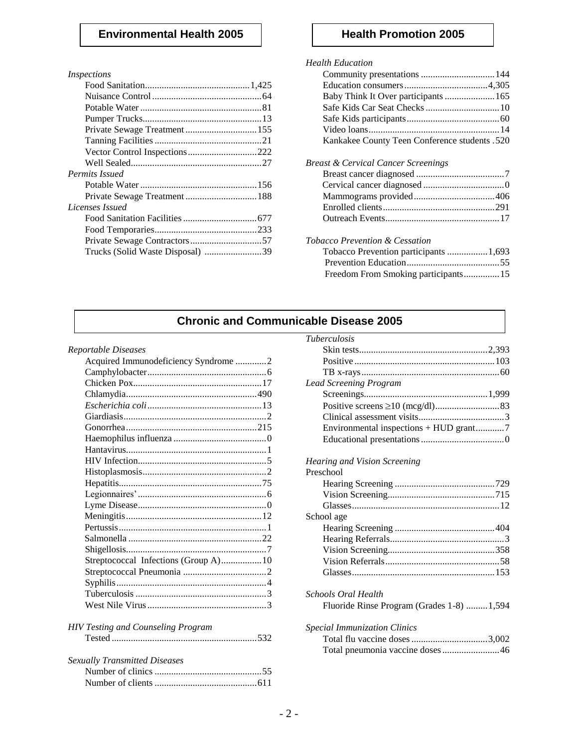## **Environmental Health 2005 Health Promotion 2005**

#### *Inspections*

| Vector Control Inspections222    |  |
|----------------------------------|--|
|                                  |  |
| Permits Issued                   |  |
|                                  |  |
|                                  |  |
| Licenses Issued                  |  |
|                                  |  |
|                                  |  |
|                                  |  |
| Trucks (Solid Waste Disposal) 39 |  |
|                                  |  |

#### *Health Education*

| Baby Think It Over participants  165          |
|-----------------------------------------------|
| Safe Kids Car Seat Checks  10                 |
|                                               |
|                                               |
| Kankakee County Teen Conference students .520 |
| Breast & Cervical Cancer Screenings           |
|                                               |
|                                               |
|                                               |
|                                               |
|                                               |
| Tobacco Prevention & Cessation                |
| Tobacco Prevention participants 1,693         |
|                                               |
| Freedom From Smoking participants 15          |
|                                               |

# **Chronic and Communicable Disease 2005**

#### *Reportable Diseases*

| Acquired Immunodeficiency Syndrome 2      |  |
|-------------------------------------------|--|
|                                           |  |
|                                           |  |
|                                           |  |
|                                           |  |
|                                           |  |
|                                           |  |
|                                           |  |
|                                           |  |
|                                           |  |
|                                           |  |
|                                           |  |
|                                           |  |
|                                           |  |
|                                           |  |
|                                           |  |
|                                           |  |
|                                           |  |
| Streptococcal Infections (Group A)10      |  |
|                                           |  |
|                                           |  |
|                                           |  |
|                                           |  |
|                                           |  |
| <b>HIV Testing and Counseling Program</b> |  |
|                                           |  |
| <b>Sexually Transmitted Diseases</b>      |  |
|                                           |  |
|                                           |  |

Number of clients ...........................................611

| <i>Tuberculosis</i>                    |  |
|----------------------------------------|--|
|                                        |  |
|                                        |  |
|                                        |  |
| <b>Lead Screening Program</b>          |  |
|                                        |  |
|                                        |  |
|                                        |  |
| Environmental inspections + HUD grant7 |  |
|                                        |  |
|                                        |  |

### *Hearing and Vision Screening*

| Preschool                                                        |
|------------------------------------------------------------------|
|                                                                  |
|                                                                  |
|                                                                  |
| School age                                                       |
|                                                                  |
|                                                                  |
|                                                                  |
|                                                                  |
|                                                                  |
| Schools Oral Health<br>Fluoride Rinse Program (Grades 1-8) 1,594 |
| <i>Special Immunization Clinics</i>                              |

| Special Immunization Clinics    |  |
|---------------------------------|--|
|                                 |  |
| Total pneumonia vaccine doses46 |  |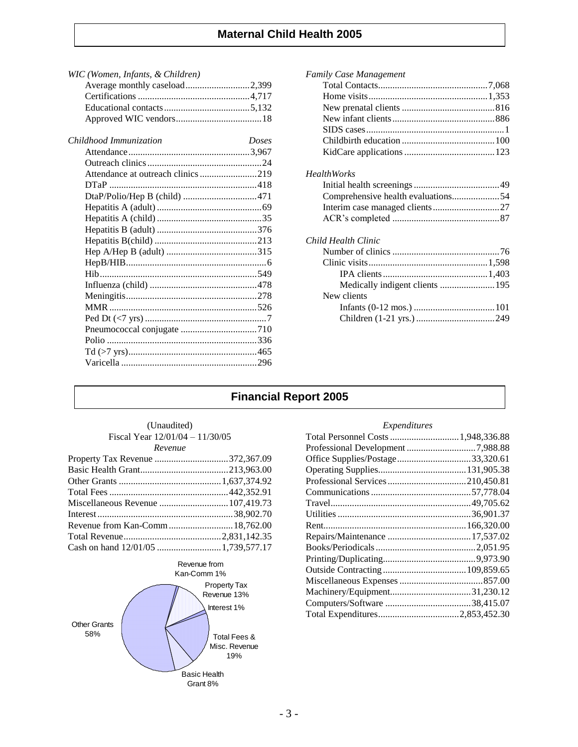## **Maternal Child Health 2005**

| WIC (Women, Infants, & Children)   |              |
|------------------------------------|--------------|
| Average monthly caseload2,399      |              |
|                                    |              |
|                                    |              |
|                                    |              |
| Childhood Immunization             | <b>Doses</b> |
|                                    |              |
|                                    |              |
| Attendance at outreach clinics 219 |              |
|                                    |              |
| DtaP/Polio/Hep B (child) 471       |              |
|                                    |              |
|                                    |              |
|                                    |              |
|                                    |              |
|                                    |              |
|                                    |              |
|                                    |              |
|                                    |              |
|                                    |              |
|                                    |              |
|                                    |              |
|                                    |              |
|                                    |              |
|                                    |              |
|                                    |              |
|                                    |              |

| Family Case Management             |  |
|------------------------------------|--|
|                                    |  |
|                                    |  |
|                                    |  |
|                                    |  |
|                                    |  |
|                                    |  |
|                                    |  |
| <b>HealthWorks</b>                 |  |
|                                    |  |
| Comprehensive health evaluations54 |  |
|                                    |  |
|                                    |  |
| Child Health Clinic                |  |
|                                    |  |
|                                    |  |
|                                    |  |
| Medically indigent clients  195    |  |
| New clients                        |  |
|                                    |  |
|                                    |  |
|                                    |  |

# **Financial Report 2005**

| (Unaudited)                       |  |  |  |
|-----------------------------------|--|--|--|
| Fiscal Year $12/01/04 - 11/30/05$ |  |  |  |
| Revenue                           |  |  |  |

| Property Tax Revenue 372,367.09 |  |
|---------------------------------|--|
|                                 |  |
|                                 |  |
|                                 |  |
|                                 |  |
|                                 |  |
|                                 |  |
|                                 |  |
|                                 |  |
|                                 |  |



#### *Expenditures*

| Total Personnel Costs  1,948,336.88 |  |
|-------------------------------------|--|
| Professional Development 7,988.88   |  |
| Office Supplies/Postage33,320.61    |  |
|                                     |  |
|                                     |  |
|                                     |  |
|                                     |  |
|                                     |  |
|                                     |  |
|                                     |  |
|                                     |  |
|                                     |  |
|                                     |  |
|                                     |  |
|                                     |  |
|                                     |  |
|                                     |  |